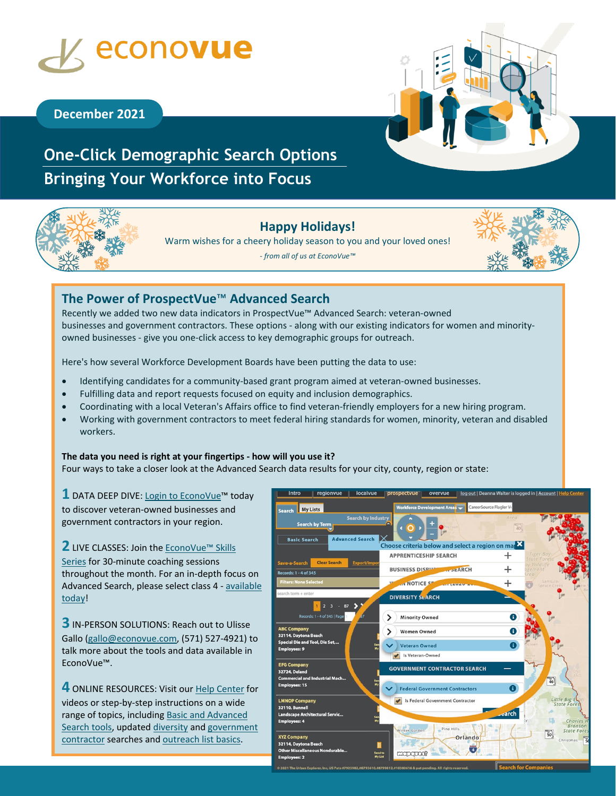

# **December 2021**

# **One-Click Demographic Search Options Bringing Your Workforce into Focus**



## **Happy Holidays!**

Warm wishes for a cheery holiday season to you and your loved ones!

*- from all of us at EconoVue™*



# **The Power of ProspectVue**™ **Advanced Search**

Recently we added two new data indicators in ProspectVue™ Advanced Search: veteran-owned businesses and government contractors. These options - along with our existing indicators for women and minorityowned businesses - give you one-click access to key demographic groups for outreach.

Here's how several Workforce Development Boards have been putting the data to use:

- Identifying candidates for a community-based grant program aimed at veteran-owned businesses.
- Fulfilling data and report requests focused on equity and inclusion demographics.
- Coordinating with a local Veteran's Affairs office to find veteran-friendly employers for a new hiring program.
- Working with government contractors to meet federal hiring standards for women, minority, veteran and disabled workers.

### **The data you need is right at your fingertips - how will you use it?**

Four ways to take a closer look at the Advanced Search data results for your city, county, region or state:

**1** DATA DEEP DIVE: [Login to EconoVue™](https://www.econovue.com/sign-in/) today to discover veteran-owned businesses and government contractors in your region.

**2** LIVE CLASSES: Join the **EconoVue™ Skills** [Series](https://www.econovue.com/TrainingRegistration/) for 30-minute coaching sessions throughout the month. For an in-depth focus on Advanced Search, please select class 4 - [available](https://us02web.zoom.us/meeting/register/tZwof-iorz8pH9VSv06GS-6xLv0cq7jVkArM)  [today!](https://us02web.zoom.us/meeting/register/tZwof-iorz8pH9VSv06GS-6xLv0cq7jVkArM)

**3** IN-PERSON SOLUTIONS: Reach out to Ulisse Gallo [\(gallo@econovue.com,](mailto:gallo@econovue.com?subject=EconoVue%20Support) (571) 527-4921) to talk more about the tools and data available in EconoVue™.

**4** ONLINE RESOURCES: Visit our [Help Center](https://econovue.zendesk.com/hc/en-us) for videos or step-by-step instructions on a wide range of topics, including [Basic and Advanced](https://econovue.zendesk.com/hc/en-us/articles/4412067712659-ProspectVue-Basic-and-Advanced-Search-Options)  [Search tools,](https://econovue.zendesk.com/hc/en-us/articles/4412067712659-ProspectVue-Basic-and-Advanced-Search-Options) updated [diversity](https://econovue.zendesk.com/hc/en-us/articles/360061316213-ProspectVue-Diversity-Search) and government [contractor](https://econovue.zendesk.com/hc/en-us/articles/4412082883091-ProspectVue-Government-Contractor-Search) searches and [outreach list basics.](https://econovue.zendesk.com/hc/en-us/articles/360012095394-ProspectVue-Create-a-Targeted-Business-List)